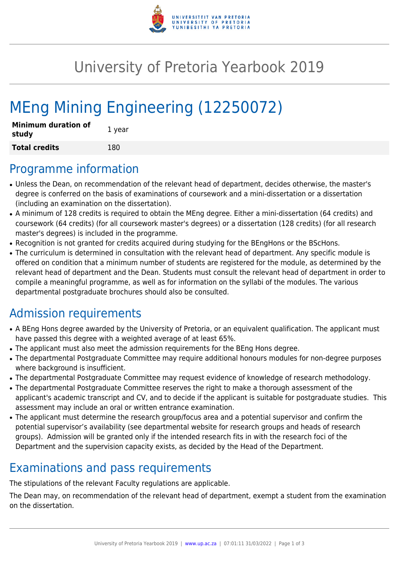

## University of Pretoria Yearbook 2019

# MEng Mining Engineering (12250072)

| <b>Minimum duration of</b><br>study | 1 year |
|-------------------------------------|--------|
| <b>Total credits</b>                | 180    |

#### Programme information

- Unless the Dean, on recommendation of the relevant head of department, decides otherwise, the master's degree is conferred on the basis of examinations of coursework and a mini-dissertation or a dissertation (including an examination on the dissertation).
- A minimum of 128 credits is required to obtain the MEng degree. Either a mini-dissertation (64 credits) and coursework (64 credits) (for all coursework master's degrees) or a dissertation (128 credits) (for all research master's degrees) is included in the programme.
- Recognition is not granted for credits acquired during studying for the BEngHons or the BScHons.
- The curriculum is determined in consultation with the relevant head of department. Any specific module is offered on condition that a minimum number of students are registered for the module, as determined by the relevant head of department and the Dean. Students must consult the relevant head of department in order to compile a meaningful programme, as well as for information on the syllabi of the modules. The various departmental postgraduate brochures should also be consulted.

### Admission requirements

- A BEng Hons degree awarded by the University of Pretoria, or an equivalent qualification. The applicant must have passed this degree with a weighted average of at least 65%.
- The applicant must also meet the admission requirements for the BEng Hons degree.
- The departmental Postgraduate Committee may require additional honours modules for non-degree purposes where background is insufficient.
- The departmental Postgraduate Committee may request evidence of knowledge of research methodology.
- The departmental Postgraduate Committee reserves the right to make a thorough assessment of the applicant's academic transcript and CV, and to decide if the applicant is suitable for postgraduate studies. This assessment may include an oral or written entrance examination.
- The applicant must determine the research group/focus area and a potential supervisor and confirm the potential supervisor's availability (see departmental website for research groups and heads of research groups). Admission will be granted only if the intended research fits in with the research foci of the Department and the supervision capacity exists, as decided by the Head of the Department.

### Examinations and pass requirements

The stipulations of the relevant Faculty regulations are applicable.

The Dean may, on recommendation of the relevant head of department, exempt a student from the examination on the dissertation.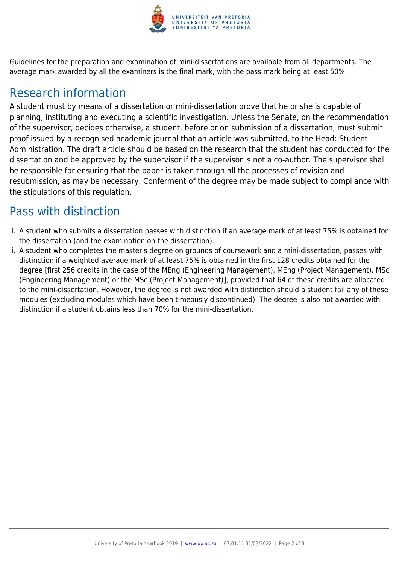

Guidelines for the preparation and examination of mini-dissertations are available from all departments. The average mark awarded by all the examiners is the final mark, with the pass mark being at least 50%.

#### Research information

A student must by means of a dissertation or mini-dissertation prove that he or she is capable of planning, instituting and executing a scientific investigation. Unless the Senate, on the recommendation of the supervisor, decides otherwise, a student, before or on submission of a dissertation, must submit proof issued by a recognised academic journal that an article was submitted, to the Head: Student Administration. The draft article should be based on the research that the student has conducted for the dissertation and be approved by the supervisor if the supervisor is not a co-author. The supervisor shall be responsible for ensuring that the paper is taken through all the processes of revision and resubmission, as may be necessary. Conferment of the degree may be made subject to compliance with the stipulations of this regulation.

#### Pass with distinction

- i. A student who submits a dissertation passes with distinction if an average mark of at least 75% is obtained for the dissertation (and the examination on the dissertation).
- ii. A student who completes the master's degree on grounds of coursework and a mini-dissertation, passes with distinction if a weighted average mark of at least 75% is obtained in the first 128 credits obtained for the degree [first 256 credits in the case of the MEng (Engineering Management), MEng (Project Management), MSc (Engineering Management) or the MSc (Project Management)], provided that 64 of these credits are allocated to the mini-dissertation. However, the degree is not awarded with distinction should a student fail any of these modules (excluding modules which have been timeously discontinued). The degree is also not awarded with distinction if a student obtains less than 70% for the mini-dissertation.